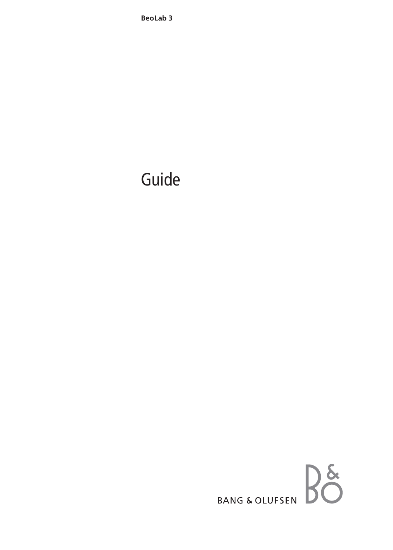**BeoLab 3** 

# Guide

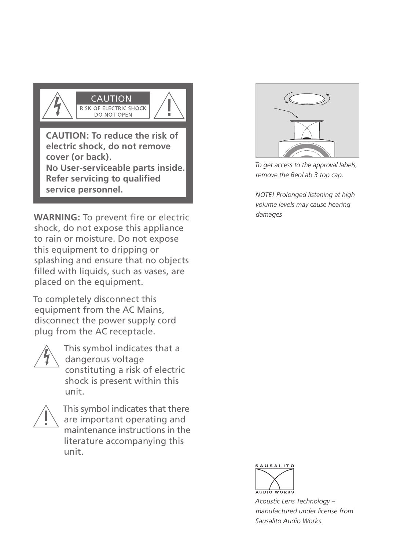

**cover (or back). No User-serviceable parts inside. Refer servicing to qualified service personnel.** 

**WARNING:** To prevent fire or electric **The alternal property** damages shock, do not expose this appliance to rain or moisture. Do not expose this equipment to dripping or splashing and ensure that no objects filled with liquids, such as vases, are placed on the equipment.

To completely disconnect this equipment from the AC Mains, disconnect the power supply cord plug from the AC receptacle.



This symbol indicates that a dangerous voltage constituting a risk of electric shock is present within this unit.



This symbol indicates that there are important operating and maintenance instructions in the literature accompanying this unit.



*To get access to the approval labels, remove the BeoLab 3 top cap.* 

*NOTE! Prolonged listening at high volume levels may cause hearing* 



*Acoustic Lens Technology – manufactured under license from Sausalito Audio Works.*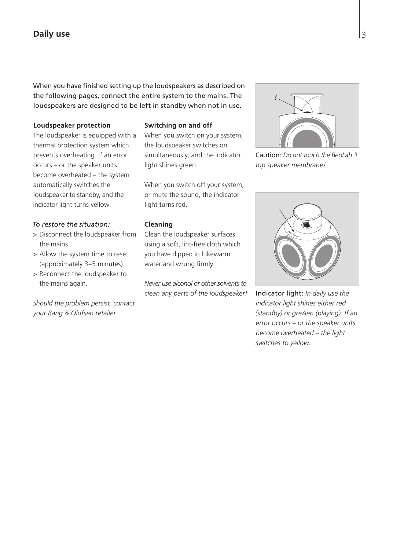# **Daily use**

When you have finished setting up the loudspeakers as described on the following pages, connect the entire system to the mains. The loudspeakers are designed to be left in standby when not in use.

#### **Loudspeaker protection**

The loudspeaker is equipped with a thermal protection system which prevents overheating. If an error occurs – or the speaker units become overheated – the system automatically switches the loudspeaker to standby, and the indicator light turns yellow.

## *To restore the situation:*

- > Disconnect the loudspeaker from the mains.
- > Allow the system time to reset (approximately 3–5 minutes).
- > Reconnect the loudspeaker to the mains again.

*Should the problem persist, contact your Bang & Olufsen retailer.* 

#### **Switching on and off**

When you switch on your system, the loudspeaker switches on simultaneously, and the indicator light shines green.

When you switch off your system, or mute the sound, the indicator light turns red.

# **Cleaning**

Clean the loudspeaker surfaces using a soft, lint-free cloth which you have dipped in lukewarm water and wrung firmly.

*Never use alcohol or other solvents to clean any parts of the loudspeaker!* 



Caution: *Do not touch the BeoLab 3 top speaker membrane!* 



Indicator light: *In daily use the indicator light shines either red (standby) or greAen (playing). If an error occurs – or the speaker units become overheated – the light switches to yellow.*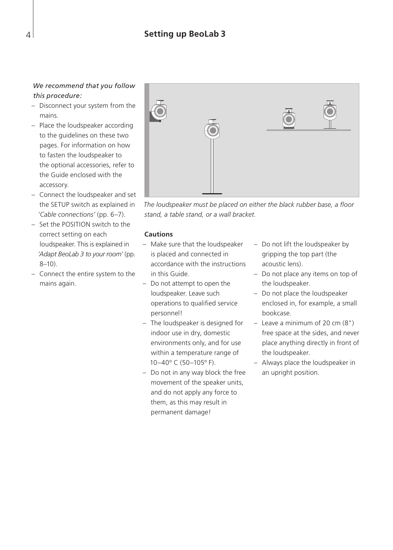# *We recommend that you follow this procedure:*

- Disconnect your system from the mains.
- Place the loudspeaker according to the guidelines on these two pages. For information on how to fasten the loudspeaker to the optional accessories, refer to the Guide enclosed with the accessory.
- Connect the loudspeaker and set the SETUP switch as explained in '*Cable connections'* (pp. 6–7).
- Set the POSITION switch to the correct setting on each loudspeaker. This is explained in '*Adapt BeoLab 3 to your room'* (pp. 8–10).
- Connect the entire system to the mains again.



*The loudspeaker must be placed on either the black rubber base, a floor stand, a table stand, or a wall bracket.* 

### **Cautions**

- Make sure that the loudspeaker is placed and connected in accordance with the instructions in this Guide.
- Do not attempt to open the loudspeaker. Leave such operations to qualified service personnel!
- The loudspeaker is designed for indoor use in dry, domestic environments only, and for use within a temperature range of 10–40º C (50–105º F).
- Do not in any way block the free movement of the speaker units, and do not apply any force to them, as this may result in permanent damage!
- Do not lift the loudspeaker by gripping the top part (the acoustic lens).
- Do not place any items on top of the loudspeaker.
- Do not place the loudspeaker enclosed in, for example, a small bookcase.
- Leave a minimum of 20 cm (8") free space at the sides, and never place anything directly in front of the loudspeaker.
- Always place the loudspeaker in an upright position.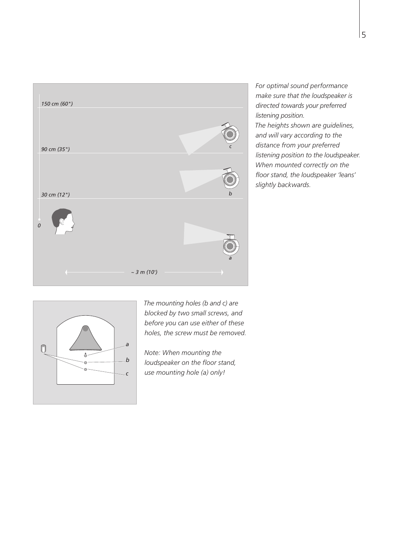

*For optimal sound performance make sure that the loudspeaker is directed towards your preferred listening position.* 

*The heights shown are guidelines, and will vary according to the distance from your preferred listening position to the loudspeaker. When mounted correctly on the floor stand, the loudspeaker 'leans' slightly backwards.* 



*The mounting holes (b and c) are blocked by two small screws, and before you can use either of these holes, the screw must be removed.* 

*Note: When mounting the loudspeaker on the floor stand, use mounting hole (a) only!*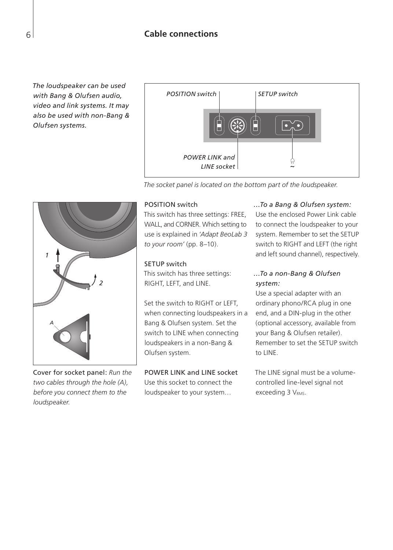*The loudspeaker can be used with Bang & Olufsen audio, video and link systems. It may also be used with non-Bang & Olufsen systems.* 



*The socket panel is located on the bottom part of the loudspeaker.* 



Cover for socket panel: *Run the two cables through the hole (A), before you connect them to the loudspeaker.* 

### POSITION switch

This switch has three settings: FREE, WALL, and CORNER. Which setting to use is explained in '*Adapt BeoLab 3 to your room'* (pp. 8–10).

#### SETUP switch

This switch has three settings: RIGHT, LEFT, and LINE.

Set the switch to RIGHT or LEFT, when connecting loudspeakers in a Bang & Olufsen system. Set the switch to LINE when connecting loudspeakers in a non-Bang & Olufsen system.

# POWER LINK and LINE socket

Use this socket to connect the loudspeaker to your system…

# *…To a Bang & Olufsen system:*

Use the enclosed Power Link cable to connect the loudspeaker to your system. Remember to set the SETUP switch to RIGHT and LEFT (the right and left sound channel), respectively.

# *…To a non-Bang & Olufsen system:*

Use a special adapter with an ordinary phono/RCA plug in one end, and a DIN-plug in the other (optional accessory, available from your Bang & Olufsen retailer). Remember to set the SETUP switch to LINE.

The LINE signal must be a volumecontrolled line-level signal not exceeding 3 VRMS.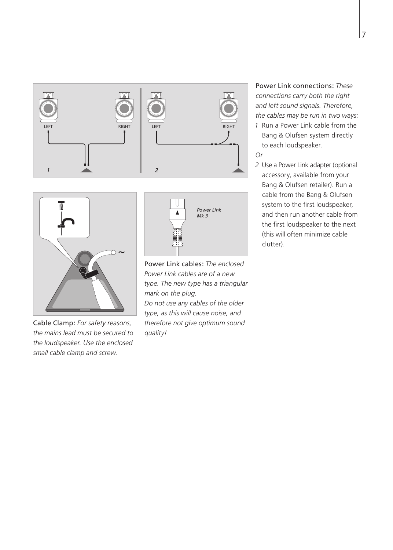



Cable Clamp: *For safety reasons, the mains lead must be secured to the loudspeaker. Use the enclosed small cable clamp and screw.* 



Power Link cables: *The enclosed Power Link cables are of a new type. The new type has a triangular mark on the plug. Do not use any cables of the older type, as this will cause noise, and therefore not give optimum sound quality!* 

Power Link connections: *These connections carry both the right*  and left sound signals. Therefore, *the cables may be run in two ways:* 

- *1* Run a Power Link cable from the Bang & Olufsen system directly to each loudspeaker.
- *Or*
- *2* Use a Power Link adapter (optional accessory, available from your Bang & Olufsen retailer). Run a cable from the Bang & Olufsen system to the first loudspeaker, and then run another cable from the first loudspeaker to the next (this will often minimize cable clutter).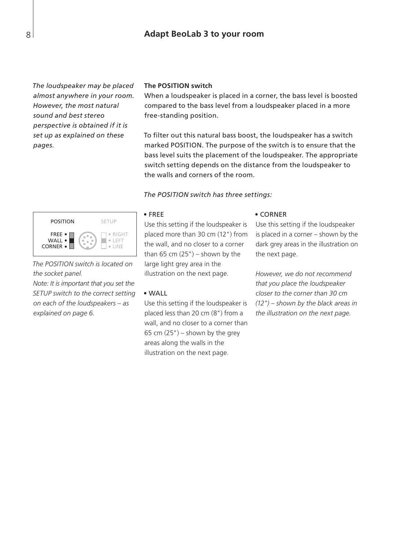# **Adapt BeoLab 3 to your room**

*The loudspeaker may be placed almost anywhere in your room. However, the most natural sound and best stereo perspective is obtained if it is set up as explained on these pages.* 

#### **The POSITION switch**

When a loudspeaker is placed in a corner, the bass level is boosted compared to the bass level from a loudspeaker placed in a more free-standing position.

To filter out this natural bass boost, the loudspeaker has a switch marked POSITION. The purpose of the switch is to ensure that the bass level suits the placement of the loudspeaker. The appropriate switch setting depends on the distance from the loudspeaker to the walls and corners of the room.

#### *The POSITION switch has three settings:*



*The POSITION switch is located on the socket panel. Note: It is important that you set the SETUP switch to the correct setting on each of the loud speakers – as explained on page 6.* 

#### • FREE

Use this setting if the loudspeaker is placed more than 30 cm (12") from the wall, and no closer to a corner than  $65$  cm  $(25")$  – shown by the large light grey area in the illustration on the next page.

#### • WALL

Use this setting if the loudspeaker is placed less than 20 cm (8") from a wall, and no closer to a corner than 65 cm  $(25")$  – shown by the grey areas along the walls in the illustration on the next page.

#### • CORNER

Use this setting if the loudspeaker is placed in a corner – shown by the dark grey areas in the illustration on the next page.

*However, we do not recommend that you place the loudspeaker closer to the corner than 30 cm (12") – shown by the black areas in the illustration on the next page.*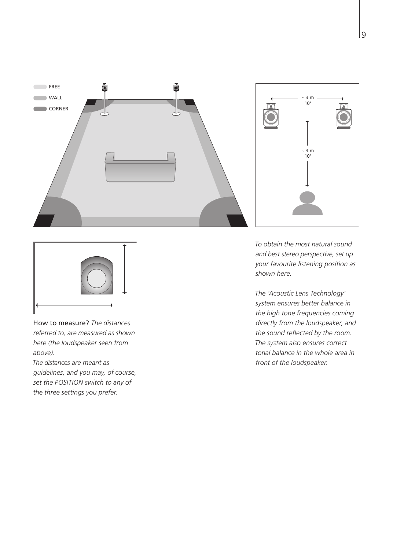



*The 'Acoustic Lens Technology' system ensures better balance in the high tone frequencies coming directly from the loudspeaker, and the sound reflected by the room. The system also ensures correct tonal balance in the whole area in front of the loudspeaker.* 



How to measure? *The distances referred to, are measured as shown here (the loudspeaker seen from above).* 

*The distances are meant as guidelines, and you may, of course, set the POSITION switch to any of the three settings you prefer.*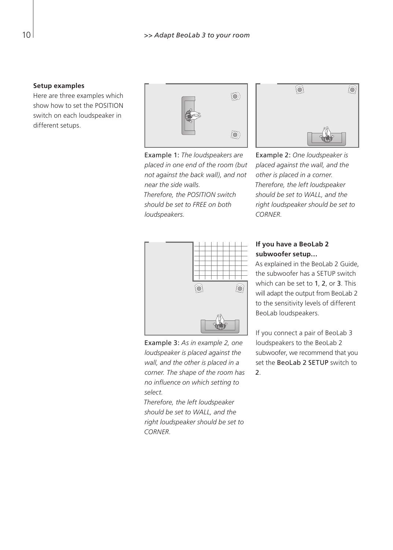#### **Setup examples**

Here are three examples which show how to set the POSITION switch on each loudspeaker in different setups.



Example 1: *The loudspeakers are placed in one end of the room (but not against the back wall), and not near the side walls. Therefore, the POSITION switch should be set to FREE on both loud speakers.* 



Example 2: *One loudspeaker is placed against the wall, and the other is placed in a corner. Therefore, the left loudspeaker should be set to WALL, and the right loudspeaker should be set to CORNER.* 



Example 3: *As in example 2, one loud speaker is placed against the wall, and the other is placed in a corner. The shape of the room has no influence on which setting to select.* 

*Therefore, the left loudspeaker should be set to WALL, and the right loudspeaker should be set to CORNER.* 

# **If you have a BeoLab 2 subwoofer setup…**

As explained in the BeoLab 2 Guide, the subwoofer has a SETUP switch which can be set to 1, 2, or 3. This will adapt the output from BeoLab 2 to the sensitivity levels of different BeoLab loudspeakers.

If you connect a pair of BeoLab 3 loudspeakers to the BeoLab 2 subwoofer, we recommend that you set the BeoLab 2 SETUP switch to  $\mathcal{L}$